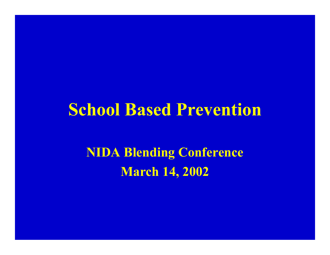#### **School Based Prevention**

**NIDA Blending Con ference March 14, 2002**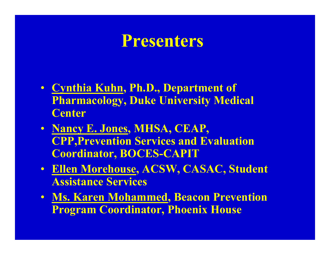#### **Presenters**

- **Cynthia Kuhn, Ph.D., Department of Pharmacology, Duke University Medical Center**
- **Nancy E. Jones, MHSA, CEAP, CPP,Prevention Services and Evaluation Coordinator, BOCES-CAPIT**
- **Ellen Morehouse, ACSW, CASAC, Student Assistance Services**
- **Ms. Karen Mohammed, Beacon Prevention Program Coordinator, Phoenix House**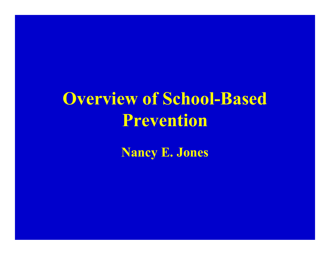# **Overview of School-Based Prevention**

**Nancy E. Jones**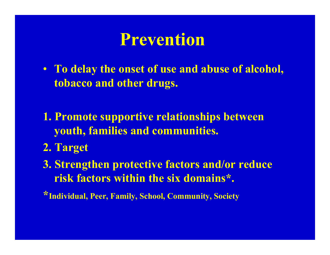### **Prevention**

- **To delay the onset of use and abuse of alcohol, tobacco and other drugs.**
- **1. Promote supportive relationships between youth, families and communities.**
- **2. Target**
- **3. Strengthen protective factors and/or reduce risk factors within the six domains\*.**

**\*Individual, Peer, Family, School, Community, Society**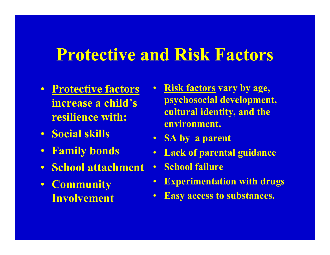## **Protective and Risk Factors**

- **Protective factors increase a child's resilience with:**
- **Social skills**
- **Family bonds**
- **School attachment**
- $\bullet$  **Community Involvement**
- **Risk factors vary by age, psychosocial development, cultural identity, and the environment.**
- **SA by a parent**
- $\bullet$ **Lack of parental guidance**
- $\bullet$ **•** School failure
- $\bullet$ **• Experimentation with drugs**
- $\bullet$ **Easy access to substances.**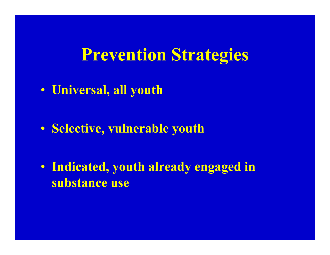#### **Prevention Strategies**

• **Universal, all youth**

• **Selective, vulnerable youth**

• **Indicated, youth already engaged in substance use**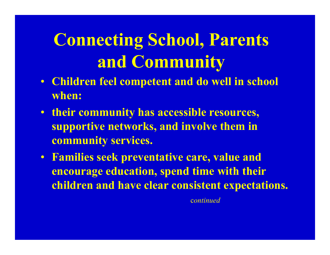## **Connecting School, Parents and Community**

- **Children feel competent and do w ell in school when :**
- **their com munity has accessible resources, supportive net works, and involve them in community services.**
- **Families seek preventative care, value and encourage education, spend t ime w ith t heir children and have clear consistent expectations.**

c*ontinued*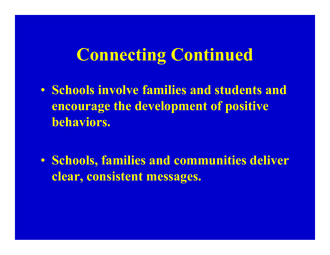## **Connecting Continued**

• **Schools involve families and students and encourage the development of positive behaviors.**

• **Schools, families and communities deliver clear, consistent messages.**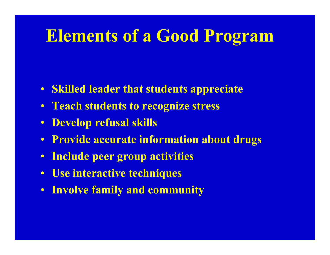## **Elements of a Good Program**

- **S killed leader that students appreciate**
- **Teach students to recognize stress**
- **Develop refusal skills**
- **Provide accurate information about drugs**
- $\bullet$ **Include peer group activities**
- **Use interactive techniques**
- **Involve family and community**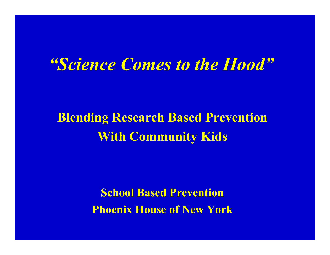#### *"Science Comes to the Hood"*

#### **Blending Research Based Prevention With Community Kids**

**School Based Prevention Phoenix House of New York**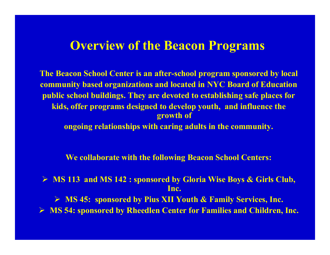#### **Overview of the Beacon Programs**

**T he B eacon S chool Center i s a n afte r -school program s ponsored by l ocal** community based organizations and located in NYC Board of Education **public sch ool buildi ngs. The y are devoted to establi shing safe places for kids, offer programs des ign e d to develop you th, and influence the grow t h of**

**ongoing relationships with caring adults in the community.** 

**We collaborate with the following Beacon School Centers:** 

▶ MS 113 and MS 142 : sponsored by Gloria Wise Boys & Girls Club, **Inc.**

**► MS 45: sponsored by Pius XII Youth & Family Services, Inc.** 

**► MS 54: sponsored by Rheedlen Center for Families and Children, Inc.**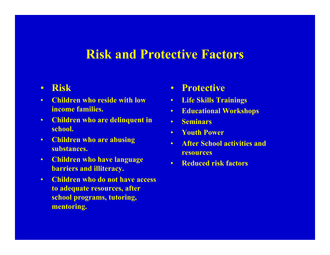#### **Risk and Protective Factors**

#### $\bullet$ **Risk**

- • **Children who reside with low income families.**
- $\bullet$  **Children who are delinquent in school.**
- • **Children who are abusing substances.**
- $\bullet$  **Children who have language barriers and illiteracy.**
- • **Children who do not have access to adequate resources, after school programs, tutoring, mentoring.**
- •**Protective**
- $\bullet$ **Life Skills Trainings**
- •**Educational Workshops**
- •**Seminars**
- •**Youth Power**
- • **After School activities and resources**
- •**Reduced risk factors**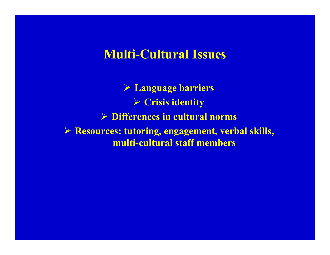#### **Multi-Cultural Issues**

 **Language barriers**  $\triangleright$  Crisis identity **► Differences in cultural norms Resources: tutoring, engagement, verbal skills, multi-cultural staff members**